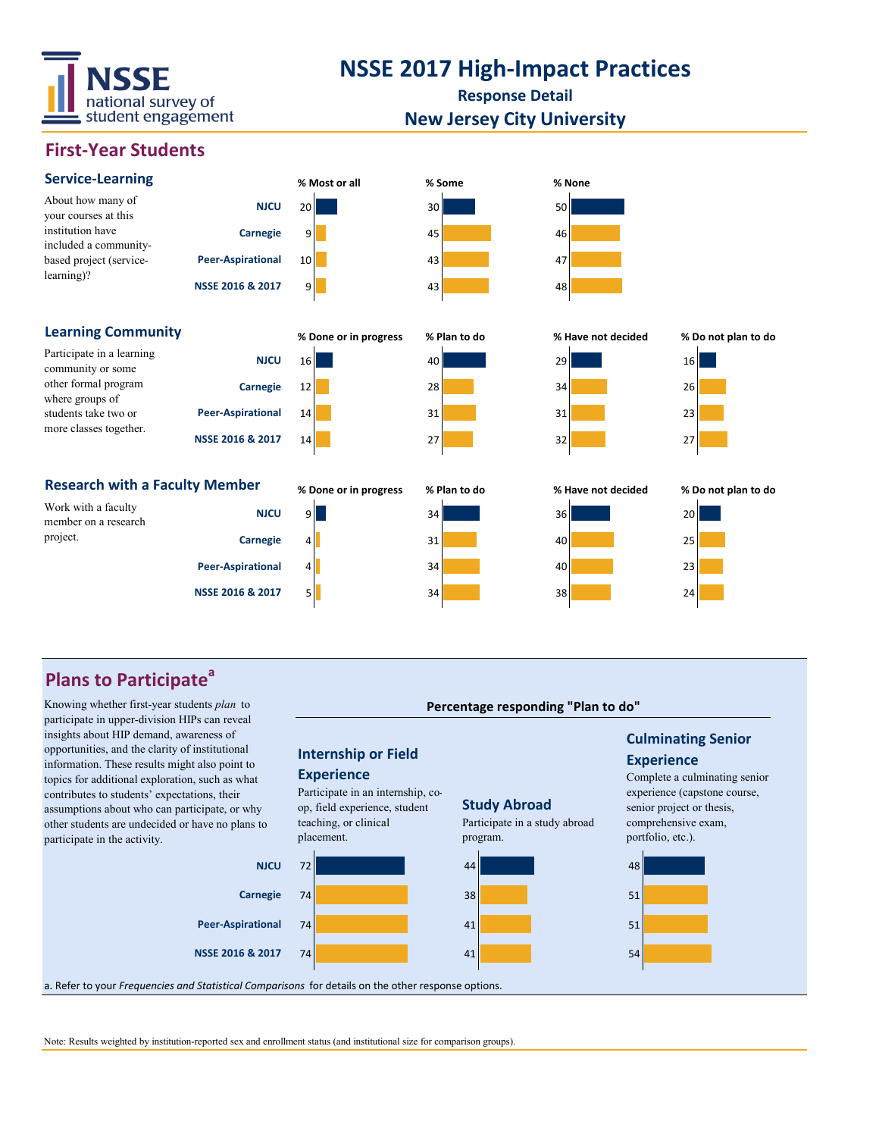

## **NSSE 2017 High-Impact Practices**

**Response Detail**

#### **New Jersey City University**

### **First-Year Students**



### **Plans to Participate<sup>a</sup>**

Knowing whether first-year students *plan* to participate in upper-division HIPs can reveal insights about HIP demand, awareness of opportunities, and the clarity of institutional information. These results might also point to topics for additional exploration, such as what contributes to students' expectations, their assumptions about who can participate, or why other students are undecided or have no plans to participate in the activity.



**Percentage responding "Plan to do"**

a. Refer to your *Frequencies and Statistical Comparisons* for details on the other response options.

Note: Results weighted by institution-reported sex and enrollment status (and institutional size for comparison groups).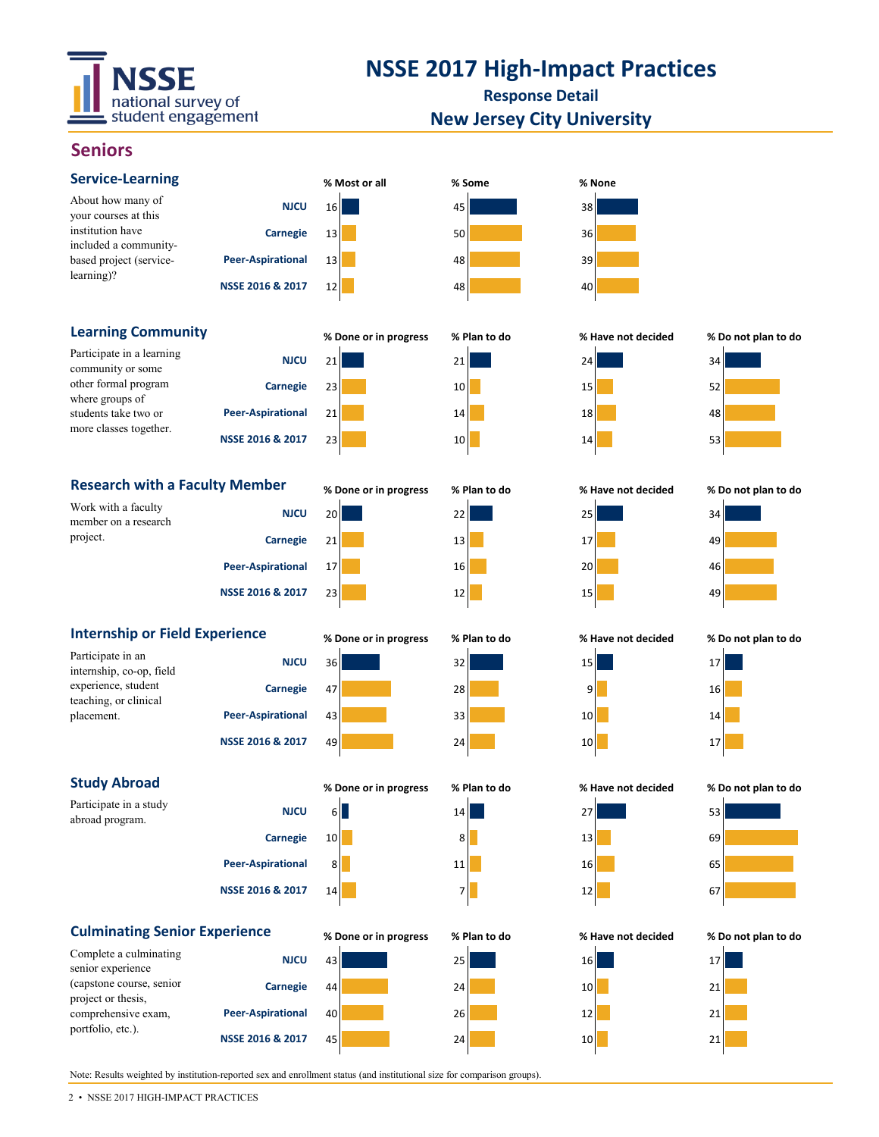

## **NSSE 2017 High-Impact Practices**

**Response Detail New Jersey City University**

45 24 10 21

### **Seniors**

| <b>Service-Learning</b>                                                                                                                     |                          | % Most or all         | % Some       | % None             |                     |
|---------------------------------------------------------------------------------------------------------------------------------------------|--------------------------|-----------------------|--------------|--------------------|---------------------|
| About how many of<br>your courses at this<br>institution have<br>included a community-<br>based project (service-<br>learning)?             | <b>NJCU</b>              | 16                    | 45           | 38                 |                     |
|                                                                                                                                             | <b>Carnegie</b>          | 13                    | 50           | 36                 |                     |
|                                                                                                                                             | <b>Peer-Aspirational</b> | 13                    | 48           | 39                 |                     |
|                                                                                                                                             | NSSE 2016 & 2017         | 12                    | 48           | 40                 |                     |
| <b>Learning Community</b>                                                                                                                   |                          | % Done or in progress | % Plan to do | % Have not decided | % Do not plan to do |
| Participate in a learning<br>community or some<br>other formal program<br>where groups of<br>students take two or<br>more classes together. | <b>NJCU</b>              | 21                    | 21           | 24                 | 34                  |
|                                                                                                                                             | <b>Carnegie</b>          | 23                    | 10           | 15                 | 52                  |
|                                                                                                                                             | <b>Peer-Aspirational</b> | 21                    | 14           | 18                 | 48                  |
|                                                                                                                                             | NSSE 2016 & 2017         | 23                    | 10           | 14                 | 53                  |
| <b>Research with a Faculty Member</b>                                                                                                       |                          | % Done or in progress | % Plan to do | % Have not decided | % Do not plan to do |
| Work with a faculty<br>member on a research<br>project.                                                                                     | <b>NJCU</b>              | 20                    | 22           | 25                 | 34                  |
|                                                                                                                                             | <b>Carnegie</b>          | 21                    | 13           | 17                 | 49                  |
|                                                                                                                                             | <b>Peer-Aspirational</b> | 17                    | 16           | 20                 | 46                  |
|                                                                                                                                             | NSSE 2016 & 2017         | 23                    | 12           | 15                 | 49                  |
| <b>Internship or Field Experience</b>                                                                                                       |                          | % Done or in progress | % Plan to do | % Have not decided | % Do not plan to do |
| Participate in an<br>internship, co-op, field<br>experience, student<br>teaching, or clinical<br>placement.                                 | <b>NJCU</b>              | 36                    | 32           | 15                 | 17                  |
|                                                                                                                                             | <b>Carnegie</b>          | 47                    | 28           | 9                  | 16                  |
|                                                                                                                                             | <b>Peer-Aspirational</b> | 43                    | 33           | 10                 | 14                  |
|                                                                                                                                             | NSSE 2016 & 2017         | 49                    | 24           | 10                 | 17                  |
| <b>Study Abroad</b>                                                                                                                         |                          | % Done or in progress | % Plan to do | % Have not decided | % Do not plan to do |
| Participate in a study<br>abroad program.                                                                                                   | <b>NJCU</b>              | $6 \blacksquare$      | 14           | 27                 | 53                  |
|                                                                                                                                             | <b>Carnegie</b>          | 10                    | 8            | 13                 | 69                  |
|                                                                                                                                             | <b>Peer-Aspirational</b> | 8                     | 11           | 16                 | 65                  |
|                                                                                                                                             | NSSE 2016 & 2017         | 14                    | 7            | 12                 | 67                  |
| <b>Culminating Senior Experience</b>                                                                                                        |                          | % Done or in progress | % Plan to do | % Have not decided | % Do not plan to do |
| Complete a culminating<br>senior experience                                                                                                 | <b>NJCU</b>              | 43                    | 25           | 16                 | 17                  |
| (capstone course, senior                                                                                                                    | <b>Carnegie</b>          | 44                    | 24           | 10                 | 21                  |
| project or thesis,<br>comprehensive exam,                                                                                                   | <b>Peer-Aspirational</b> | 40                    | 26           | 12                 | 21                  |

Note: Results weighted by institution-reported sex and enrollment status (and institutional size for comparison groups).

**NSSE 2016 & 2017**

portfolio, etc.).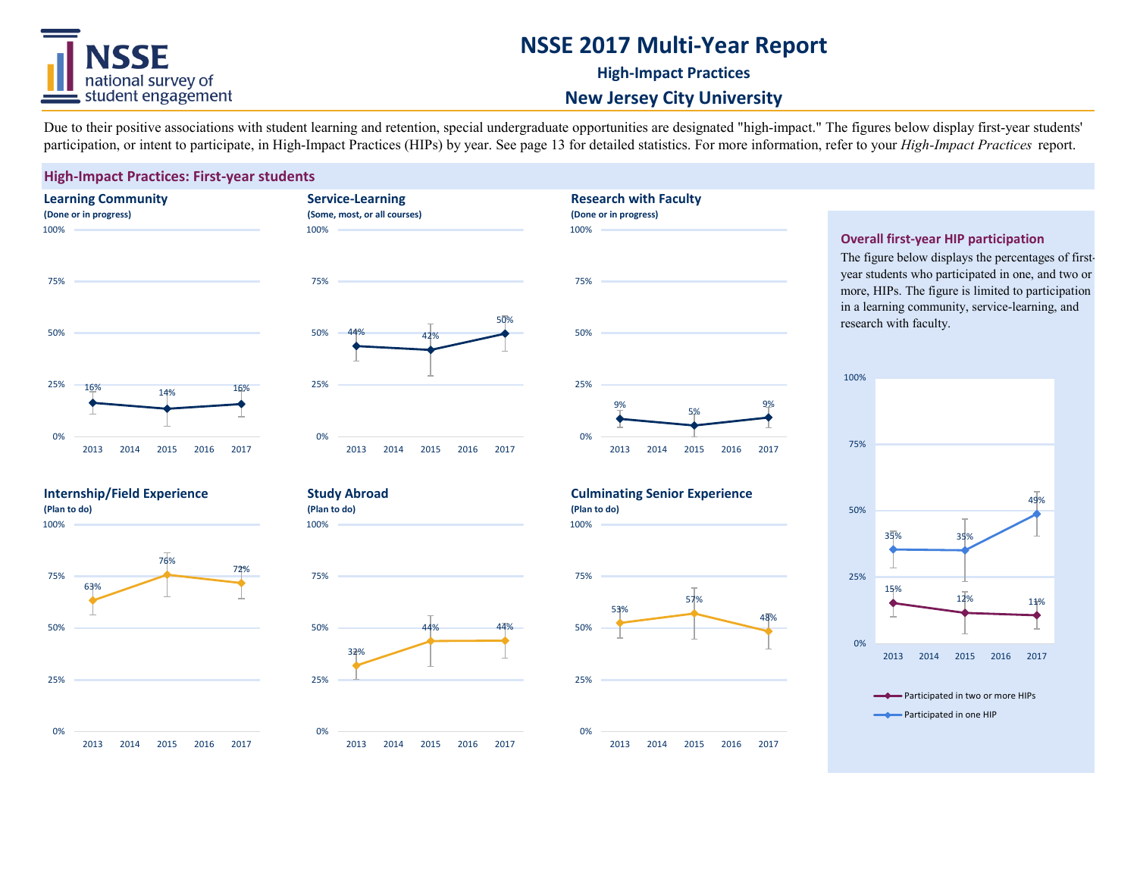## ISSE national survey of student engagement

## **NSSE 2017 Multi-Year Report**

**High-Impact Practices**

**Research with Faculty**

#### **New Jersey City University**

Due to their positive associations with student learning and retention, special undergraduate opportunities are designated "high-impact." The figures below display first-year students' participation, or intent to participate, in High-Impact Practices (HIPs) by year. See page 13 for detailed statistics. For more information, refer to your *High-Impact Practices* report.

#### **High-Impact Practices: First-year students**







#### **Overall first-year HIP participation**

The figure below displays the percentages of firstyear students who participated in one, and two or more, HIPs. The figure is limited to participation in a learning community, service-learning, and research with faculty.



#### **Internship/Field Experience (Plan to do)**

100%



**Study Abroad (Plan to do)**

**Service-Learning (Some, most, or all courses)**

100%

100%





100%